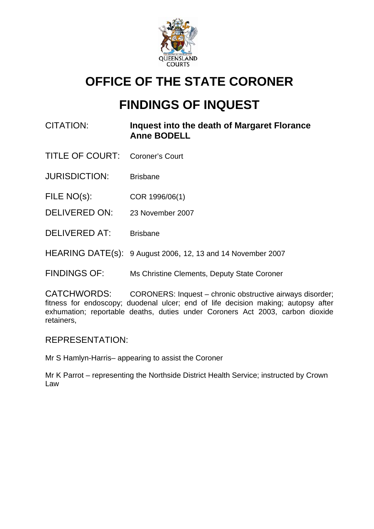

# **OFFICE OF THE STATE CORONER**

# **FINDINGS OF INQUEST**

- CITATION: **Inquest into the death of Margaret Florance Anne BODELL**
- TITLE OF COURT: Coroner's Court
- JURISDICTION: Brisbane
- FILE NO(s): COR 1996/06(1)
- DELIVERED ON: 23 November 2007
- DELIVERED AT: Brisbane
- HEARING DATE(s): 9 August 2006, 12, 13 and 14 November 2007
- FINDINGS OF: Ms Christine Clements, Deputy State Coroner

CATCHWORDS: CORONERS: Inquest – chronic obstructive airways disorder; fitness for endoscopy; duodenal ulcer; end of life decision making; autopsy after exhumation; reportable deaths, duties under Coroners Act 2003, carbon dioxide retainers,

#### REPRESENTATION:

Mr S Hamlyn-Harris– appearing to assist the Coroner

Mr K Parrot – representing the Northside District Health Service; instructed by Crown Law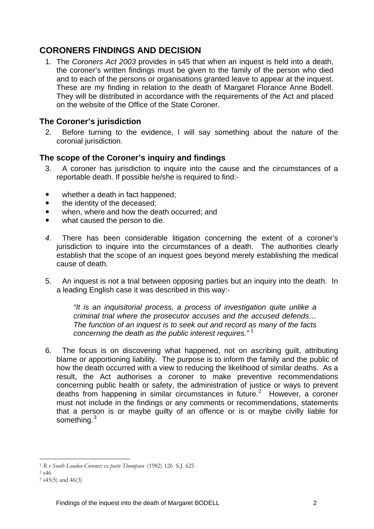## **CORONERS FINDINGS AND DECISION**

1. The *Coroners Act 2003* provides in s45 that when an inquest is held into a death, the coroner's written findings must be given to the family of the person who died and to each of the persons or organisations granted leave to appear at the inquest. These are my finding in relation to the death of Margaret Florance Anne Bodell. They will be distributed in accordance with the requirements of the Act and placed on the website of the Office of the State Coroner.

### **The Coroner's jurisdiction**

2. Before turning to the evidence, I will say something about the nature of the coronial jurisdiction.

#### **The scope of the Coroner's inquiry and findings**

- 3. A coroner has jurisdiction to inquire into the cause and the circumstances of a reportable death. If possible he/she is required to find:-
- $\bullet$  whether a death in fact happened;
- the identity of the deceased:
- when, where and how the death occurred; and
- what caused the person to die.
- *4.* There has been considerable litigation concerning the extent of a coroner's jurisdiction to inquire into the circumstances of a death. The authorities clearly establish that the scope of an inquest goes beyond merely establishing the medical cause of death.
- 5. An inquest is not a trial between opposing parties but an inquiry into the death. In a leading English case it was described in this way:-

*"It is an inquisitorial process, a process of investigation quite unlike a criminal trial where the prosecutor accuses and the accused defends… The function of an inquest is to seek out and record as many of the facts concerning the death as the public interest requires."* [1](#page-1-0)

6. The focus is on discovering what happened, not on ascribing guilt, attributing blame or apportioning liability. The purpose is to inform the family and the public of how the death occurred with a view to reducing the likelihood of similar deaths. As a result, the Act authorises a coroner to make preventive recommendations concerning public health or safety, the administration of justice or ways to prevent deaths from happening in similar circumstances in future. $2$  However, a coroner must not include in the findings or any comments or recommendations, statements that a person is or maybe guilty of an offence or is or maybe civilly liable for something.<sup>[3](#page-1-2)</sup>

<span id="page-1-0"></span><sup>1</sup> <sup>1</sup> *R v South London Coroner; ex parte Thompson* (1982) 126 S.J. 625 2 s46

<span id="page-1-2"></span><span id="page-1-1"></span> $3$  s45(5) and 46(3)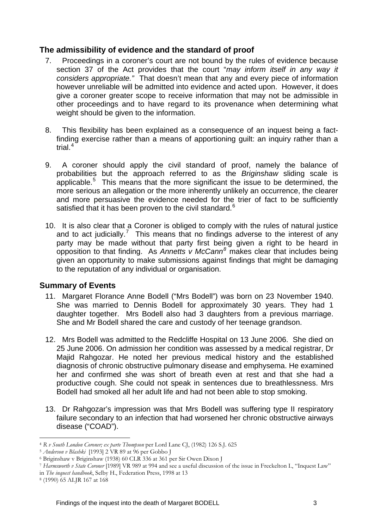### **The admissibility of evidence and the standard of proof**

- 7. Proceedings in a coroner's court are not bound by the rules of evidence because section 37 of the Act provides that the court "*may inform itself in any way it considers appropriate."* That doesn't mean that any and every piece of information however unreliable will be admitted into evidence and acted upon. However, it does give a coroner greater scope to receive information that may not be admissible in other proceedings and to have regard to its provenance when determining what weight should be given to the information.
- 8. This flexibility has been explained as a consequence of an inquest being a factfinding exercise rather than a means of apportioning guilt: an inquiry rather than a trial. $4$
- 9. A coroner should apply the civil standard of proof, namely the balance of probabilities but the approach referred to as the *Briginshaw* sliding scale is applicable.<sup>[5](#page-2-1)</sup> This means that the more significant the issue to be determined, the more serious an allegation or the more inherently unlikely an occurrence, the clearer and more persuasive the evidence needed for the trier of fact to be sufficiently satisfied that it has been proven to the civil standard. $6$
- 10. It is also clear that a Coroner is obliged to comply with the rules of natural justice and to act judicially.<sup>[7](#page-2-3)</sup> This means that no findings adverse to the interest of any party may be made without that party first being given a right to be heard in opposition to that finding. As *Annetts v McCann[8](#page-2-4)* makes clear that includes being given an opportunity to make submissions against findings that might be damaging to the reputation of any individual or organisation.

#### **Summary of Events**

- 11. Margaret Florance Anne Bodell ("Mrs Bodell") was born on 23 November 1940. She was married to Dennis Bodell for approximately 30 years. They had 1 daughter together. Mrs Bodell also had 3 daughters from a previous marriage. She and Mr Bodell shared the care and custody of her teenage grandson.
- 12. Mrs Bodell was admitted to the Redcliffe Hospital on 13 June 2006. She died on 25 June 2006. On admission her condition was assessed by a medical registrar, Dr Majid Rahgozar. He noted her previous medical history and the established diagnosis of chronic obstructive pulmonary disease and emphysema. He examined her and confirmed she was short of breath even at rest and that she had a productive cough. She could not speak in sentences due to breathlessness. Mrs Bodell had smoked all her adult life and had not been able to stop smoking.
- 13. Dr Rahgozar's impression was that Mrs Bodell was suffering type II respiratory failure secondary to an infection that had worsened her chronic obstructive airways disease ("COAD").

<span id="page-2-0"></span><sup>1</sup> <sup>4</sup> *R v South London Coroner; ex parte Thompson* per Lord Lane CJ, (1982) 126 S.J. 625 5 *Anderson v Blashki* [1993] 2 VR 89 at 96 per Gobbo J 6 Briginshaw v Briginshaw (1938) 60 CLR 336 at 361 per Sir Owen Dixon J

<span id="page-2-1"></span>

<span id="page-2-2"></span>

<span id="page-2-3"></span><sup>7</sup> *Harmsworth v State Coroner* [1989] VR 989 at 994 and see a useful discussion of the issue in Freckelton I., "Inquest Law" in *The inquest handbook*, Selby H., Federation Press, 1998 at 13 8 (1990) 65 ALJR 167 at 168

<span id="page-2-4"></span>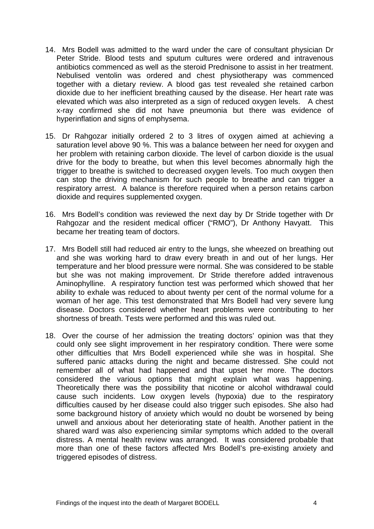- 14. Mrs Bodell was admitted to the ward under the care of consultant physician Dr Peter Stride. Blood tests and sputum cultures were ordered and intravenous antibiotics commenced as well as the steroid Prednisone to assist in her treatment. Nebulised ventolin was ordered and chest physiotherapy was commenced together with a dietary review. A blood gas test revealed she retained carbon dioxide due to her inefficient breathing caused by the disease. Her heart rate was elevated which was also interpreted as a sign of reduced oxygen levels. A chest x-ray confirmed she did not have pneumonia but there was evidence of hyperinflation and signs of emphysema.
- 15. Dr Rahgozar initially ordered 2 to 3 litres of oxygen aimed at achieving a saturation level above 90 %. This was a balance between her need for oxygen and her problem with retaining carbon dioxide. The level of carbon dioxide is the usual drive for the body to breathe, but when this level becomes abnormally high the trigger to breathe is switched to decreased oxygen levels. Too much oxygen then can stop the driving mechanism for such people to breathe and can trigger a respiratory arrest. A balance is therefore required when a person retains carbon dioxide and requires supplemented oxygen.
- 16. Mrs Bodell's condition was reviewed the next day by Dr Stride together with Dr Rahgozar and the resident medical officer ("RMO"), Dr Anthony Havyatt. This became her treating team of doctors.
- 17. Mrs Bodell still had reduced air entry to the lungs, she wheezed on breathing out and she was working hard to draw every breath in and out of her lungs. Her temperature and her blood pressure were normal. She was considered to be stable but she was not making improvement. Dr Stride therefore added intravenous Aminophylline. A respiratory function test was performed which showed that her ability to exhale was reduced to about twenty per cent of the normal volume for a woman of her age. This test demonstrated that Mrs Bodell had very severe lung disease. Doctors considered whether heart problems were contributing to her shortness of breath. Tests were performed and this was ruled out.
- 18. Over the course of her admission the treating doctors' opinion was that they could only see slight improvement in her respiratory condition. There were some other difficulties that Mrs Bodell experienced while she was in hospital. She suffered panic attacks during the night and became distressed. She could not remember all of what had happened and that upset her more. The doctors considered the various options that might explain what was happening. Theoretically there was the possibility that nicotine or alcohol withdrawal could cause such incidents. Low oxygen levels (hypoxia) due to the respiratory difficulties caused by her disease could also trigger such episodes. She also had some background history of anxiety which would no doubt be worsened by being unwell and anxious about her deteriorating state of health. Another patient in the shared ward was also experiencing similar symptoms which added to the overall distress. A mental health review was arranged. It was considered probable that more than one of these factors affected Mrs Bodell's pre-existing anxiety and triggered episodes of distress.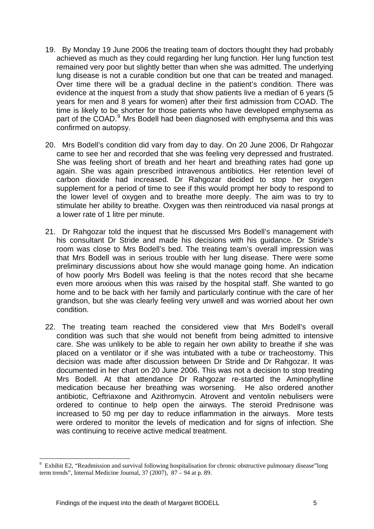- 19. By Monday 19 June 2006 the treating team of doctors thought they had probably achieved as much as they could regarding her lung function. Her lung function test remained very poor but slightly better than when she was admitted. The underlying lung disease is not a curable condition but one that can be treated and managed. Over time there will be a gradual decline in the patient's condition. There was evidence at the inquest from a study that show patients live a median of 6 years (5 years for men and 8 years for women) after their first admission from COAD. The time is likely to be shorter for those patients who have developed emphysema as part of the COAD.<sup>[9](#page-4-0)</sup> Mrs Bodell had been diagnosed with emphysema and this was confirmed on autopsy.
- 20. Mrs Bodell's condition did vary from day to day. On 20 June 2006, Dr Rahgozar came to see her and recorded that she was feeling very depressed and frustrated. She was feeling short of breath and her heart and breathing rates had gone up again. She was again prescribed intravenous antibiotics. Her retention level of carbon dioxide had increased. Dr Rahgozar decided to stop her oxygen supplement for a period of time to see if this would prompt her body to respond to the lower level of oxygen and to breathe more deeply. The aim was to try to stimulate her ability to breathe. Oxygen was then reintroduced via nasal prongs at a lower rate of 1 litre per minute.
- 21. Dr Rahgozar told the inquest that he discussed Mrs Bodell's management with his consultant Dr Stride and made his decisions with his guidance. Dr Stride's room was close to Mrs Bodell's bed. The treating team's overall impression was that Mrs Bodell was in serious trouble with her lung disease. There were some preliminary discussions about how she would manage going home. An indication of how poorly Mrs Bodell was feeling is that the notes record that she became even more anxious when this was raised by the hospital staff. She wanted to go home and to be back with her family and particularly continue with the care of her grandson, but she was clearly feeling very unwell and was worried about her own condition.
- 22. The treating team reached the considered view that Mrs Bodell's overall condition was such that she would not benefit from being admitted to intensive care. She was unlikely to be able to regain her own ability to breathe if she was placed on a ventilator or if she was intubated with a tube or tracheostomy. This decision was made after discussion between Dr Stride and Dr Rahgozar. It was documented in her chart on 20 June 2006. This was not a decision to stop treating Mrs Bodell. At that attendance Dr Rahgozar re-started the Aminophylline medication because her breathing was worsening. He also ordered another antibiotic, Ceftriaxone and Azithromycin. Atrovent and ventolin nebulisers were ordered to continue to help open the airways. The steroid Prednisone was increased to 50 mg per day to reduce inflammation in the airways. More tests were ordered to monitor the levels of medication and for signs of infection. She was continuing to receive active medical treatment.

<span id="page-4-0"></span><sup>9</sup> Exhibit E2, "Readmission and survival following hospitalisation for chronic obstructive pulmonary disease"long term trends". Internal Medicine Journal,  $37(2007)$ ,  $87-94$  at p. 89.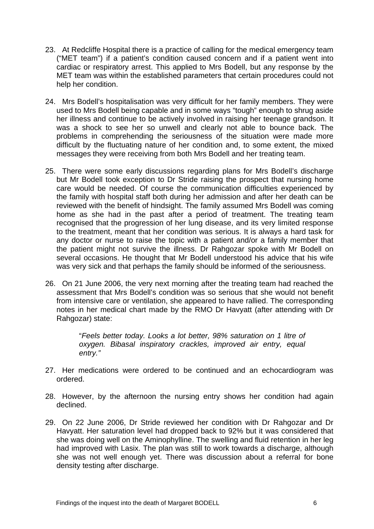- 23. At Redcliffe Hospital there is a practice of calling for the medical emergency team ("MET team") if a patient's condition caused concern and if a patient went into cardiac or respiratory arrest. This applied to Mrs Bodell, but any response by the MET team was within the established parameters that certain procedures could not help her condition.
- 24. Mrs Bodell's hospitalisation was very difficult for her family members. They were used to Mrs Bodell being capable and in some ways "tough" enough to shrug aside her illness and continue to be actively involved in raising her teenage grandson. It was a shock to see her so unwell and clearly not able to bounce back. The problems in comprehending the seriousness of the situation were made more difficult by the fluctuating nature of her condition and, to some extent, the mixed messages they were receiving from both Mrs Bodell and her treating team.
- 25. There were some early discussions regarding plans for Mrs Bodell's discharge but Mr Bodell took exception to Dr Stride raising the prospect that nursing home care would be needed. Of course the communication difficulties experienced by the family with hospital staff both during her admission and after her death can be reviewed with the benefit of hindsight. The family assumed Mrs Bodell was coming home as she had in the past after a period of treatment. The treating team recognised that the progression of her lung disease, and its very limited response to the treatment, meant that her condition was serious. It is always a hard task for any doctor or nurse to raise the topic with a patient and/or a family member that the patient might not survive the illness. Dr Rahgozar spoke with Mr Bodell on several occasions. He thought that Mr Bodell understood his advice that his wife was very sick and that perhaps the family should be informed of the seriousness.
- 26. On 21 June 2006, the very next morning after the treating team had reached the assessment that Mrs Bodell's condition was so serious that she would not benefit from intensive care or ventilation, she appeared to have rallied. The corresponding notes in her medical chart made by the RMO Dr Havyatt (after attending with Dr Rahgozar) state:

"*Feels better today. Looks a lot better, 98% saturation on 1 litre of oxygen. Bibasal inspiratory crackles, improved air entry, equal entry."* 

- 27. Her medications were ordered to be continued and an echocardiogram was ordered.
- 28. However, by the afternoon the nursing entry shows her condition had again declined.
- 29. On 22 June 2006, Dr Stride reviewed her condition with Dr Rahgozar and Dr Havyatt. Her saturation level had dropped back to 92% but it was considered that she was doing well on the Aminophylline. The swelling and fluid retention in her leg had improved with Lasix. The plan was still to work towards a discharge, although she was not well enough yet. There was discussion about a referral for bone density testing after discharge.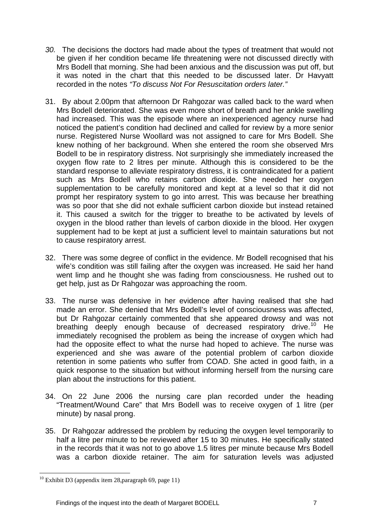- *30.* The decisions the doctors had made about the types of treatment that would not be given if her condition became life threatening were not discussed directly with Mrs Bodell that morning. She had been anxious and the discussion was put off, but it was noted in the chart that this needed to be discussed later. Dr Havyatt recorded in the notes *"To discuss Not For Resuscitation orders later."*
- 31. By about 2.00pm that afternoon Dr Rahgozar was called back to the ward when Mrs Bodell deteriorated. She was even more short of breath and her ankle swelling had increased. This was the episode where an inexperienced agency nurse had noticed the patient's condition had declined and called for review by a more senior nurse. Registered Nurse Woollard was not assigned to care for Mrs Bodell. She knew nothing of her background. When she entered the room she observed Mrs Bodell to be in respiratory distress. Not surprisingly she immediately increased the oxygen flow rate to 2 litres per minute. Although this is considered to be the standard response to alleviate respiratory distress, it is contraindicated for a patient such as Mrs Bodell who retains carbon dioxide. She needed her oxygen supplementation to be carefully monitored and kept at a level so that it did not prompt her respiratory system to go into arrest. This was because her breathing was so poor that she did not exhale sufficient carbon dioxide but instead retained it. This caused a switch for the trigger to breathe to be activated by levels of oxygen in the blood rather than levels of carbon dioxide in the blood. Her oxygen supplement had to be kept at just a sufficient level to maintain saturations but not to cause respiratory arrest.
- 32. There was some degree of conflict in the evidence. Mr Bodell recognised that his wife's condition was still failing after the oxygen was increased. He said her hand went limp and he thought she was fading from consciousness. He rushed out to get help, just as Dr Rahgozar was approaching the room.
- 33. The nurse was defensive in her evidence after having realised that she had made an error. She denied that Mrs Bodell's level of consciousness was affected, but Dr Rahgozar certainly commented that she appeared drowsy and was not breathing deeply enough because of decreased respiratory drive.<sup>10</sup> He immediately recognised the problem as being the increase of oxygen which had had the opposite effect to what the nurse had hoped to achieve. The nurse was experienced and she was aware of the potential problem of carbon dioxide retention in some patients who suffer from COAD. She acted in good faith, in a quick response to the situation but without informing herself from the nursing care plan about the instructions for this patient.
- 34. On 22 June 2006 the nursing care plan recorded under the heading "Treatment/Wound Care" that Mrs Bodell was to receive oxygen of 1 litre (per minute) by nasal prong.
- 35. Dr Rahgozar addressed the problem by reducing the oxygen level temporarily to half a litre per minute to be reviewed after 15 to 30 minutes. He specifically stated in the records that it was not to go above 1.5 litres per minute because Mrs Bodell was a carbon dioxide retainer. The aim for saturation levels was adjusted

<span id="page-6-0"></span> $10$  Exhibit D3 (appendix item 28, paragraph 69, page 11)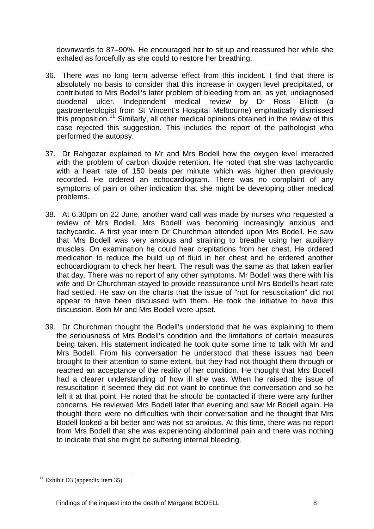downwards to 87–90%. He encouraged her to sit up and reassured her while she exhaled as forcefully as she could to restore her breathing.

- 36. There was no long term adverse effect from this incident. I find that there is absolutely no basis to consider that this increase in oxygen level precipitated, or contributed to Mrs Bodell's later problem of bleeding from an, as yet, undiagnosed duodenal ulcer. Independent medical review by Dr Ross Elliott (a gastroenterologist from St Vincent's Hospital Melbourne) emphatically dismissed this proposition.<sup>[11](#page-7-0)</sup> Similarly, all other medical opinions obtained in the review of this case rejected this suggestion. This includes the report of the pathologist who performed the autopsy.
- 37. Dr Rahgozar explained to Mr and Mrs Bodell how the oxygen level interacted with the problem of carbon dioxide retention. He noted that she was tachycardic with a heart rate of 150 beats per minute which was higher then previously recorded. He ordered an echocardiogram. There was no complaint of any symptoms of pain or other indication that she might be developing other medical problems.
- 38. At 6.30pm on 22 June, another ward call was made by nurses who requested a review of Mrs Bodell. Mrs Bodell was becoming increasingly anxious and tachycardic. A first year intern Dr Churchman attended upon Mrs Bodell. He saw that Mrs Bodell was very anxious and straining to breathe using her auxiliary muscles. On examination he could hear crepitations from her chest. He ordered medication to reduce the build up of fluid in her chest and he ordered another echocardiogram to check her heart. The result was the same as that taken earlier that day. There was no report of any other symptoms. Mr Bodell was there with his wife and Dr Churchman stayed to provide reassurance until Mrs Bodell's heart rate had settled. He saw on the charts that the issue of "not for resuscitation" did not appear to have been discussed with them. He took the initiative to have this discussion. Both Mr and Mrs Bodell were upset.
- 39. Dr Churchman thought the Bodell's understood that he was explaining to them the seriousness of Mrs Bodell's condition and the limitations of certain measures being taken. His statement indicated he took quite some time to talk with Mr and Mrs Bodell. From his conversation he understood that these issues had been brought to their attention to some extent, but they had not thought them through or reached an acceptance of the reality of her condition. He thought that Mrs Bodell had a clearer understanding of how ill she was. When he raised the issue of resuscitation it seemed they did not want to continue the conversation and so he left it at that point. He noted that he should be contacted if there were any further concerns. He reviewed Mrs Bodell later that evening and saw Mr Bodell again. He thought there were no difficulties with their conversation and he thought that Mrs Bodell looked a bit better and was not so anxious. At this time, there was no report from Mrs Bodell that she was experiencing abdominal pain and there was nothing to indicate that she might be suffering internal bleeding.

<span id="page-7-0"></span> $11$  Exhibit D3 (appendix item 35)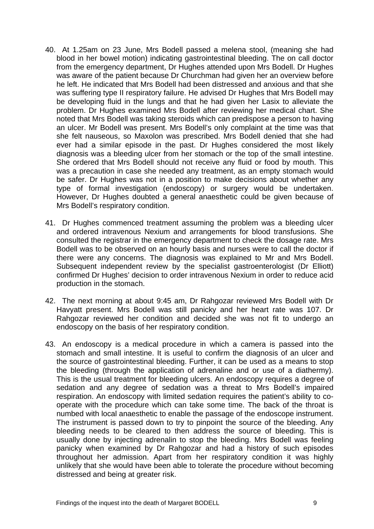- 40. At 1.25am on 23 June, Mrs Bodell passed a melena stool, (meaning she had blood in her bowel motion) indicating gastrointestinal bleeding. The on call doctor from the emergency department, Dr Hughes attended upon Mrs Bodell. Dr Hughes was aware of the patient because Dr Churchman had given her an overview before he left. He indicated that Mrs Bodell had been distressed and anxious and that she was suffering type II respiratory failure. He advised Dr Hughes that Mrs Bodell may be developing fluid in the lungs and that he had given her Lasix to alleviate the problem. Dr Hughes examined Mrs Bodell after reviewing her medical chart. She noted that Mrs Bodell was taking steroids which can predispose a person to having an ulcer. Mr Bodell was present. Mrs Bodell's only complaint at the time was that she felt nauseous, so Maxolon was prescribed. Mrs Bodell denied that she had ever had a similar episode in the past. Dr Hughes considered the most likely diagnosis was a bleeding ulcer from her stomach or the top of the small intestine. She ordered that Mrs Bodell should not receive any fluid or food by mouth. This was a precaution in case she needed any treatment, as an empty stomach would be safer. Dr Hughes was not in a position to make decisions about whether any type of formal investigation (endoscopy) or surgery would be undertaken. However, Dr Hughes doubted a general anaesthetic could be given because of Mrs Bodell's respiratory condition.
- 41. Dr Hughes commenced treatment assuming the problem was a bleeding ulcer and ordered intravenous Nexium and arrangements for blood transfusions. She consulted the registrar in the emergency department to check the dosage rate. Mrs Bodell was to be observed on an hourly basis and nurses were to call the doctor if there were any concerns. The diagnosis was explained to Mr and Mrs Bodell. Subsequent independent review by the specialist gastroenterologist (Dr Elliott) confirmed Dr Hughes' decision to order intravenous Nexium in order to reduce acid production in the stomach.
- 42. The next morning at about 9:45 am, Dr Rahgozar reviewed Mrs Bodell with Dr Havyatt present. Mrs Bodell was still panicky and her heart rate was 107. Dr Rahgozar reviewed her condition and decided she was not fit to undergo an endoscopy on the basis of her respiratory condition.
- 43. An endoscopy is a medical procedure in which a camera is passed into the stomach and small intestine. It is useful to confirm the diagnosis of an ulcer and the source of gastrointestinal bleeding. Further, it can be used as a means to stop the bleeding (through the application of adrenaline and or use of a diathermy). This is the usual treatment for bleeding ulcers. An endoscopy requires a degree of sedation and any degree of sedation was a threat to Mrs Bodell's impaired respiration. An endoscopy with limited sedation requires the patient's ability to cooperate with the procedure which can take some time. The back of the throat is numbed with local anaesthetic to enable the passage of the endoscope instrument. The instrument is passed down to try to pinpoint the source of the bleeding. Any bleeding needs to be cleared to then address the source of bleeding. This is usually done by injecting adrenalin to stop the bleeding. Mrs Bodell was feeling panicky when examined by Dr Rahgozar and had a history of such episodes throughout her admission. Apart from her respiratory condition it was highly unlikely that she would have been able to tolerate the procedure without becoming distressed and being at greater risk.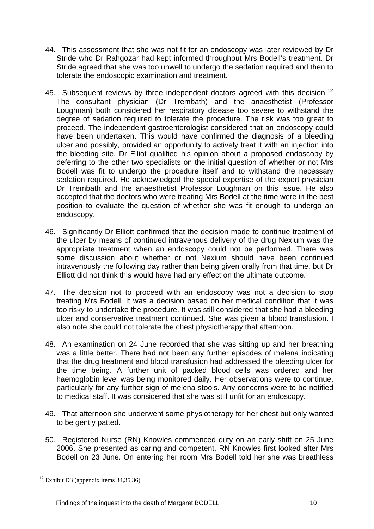- 44. This assessment that she was not fit for an endoscopy was later reviewed by Dr Stride who Dr Rahgozar had kept informed throughout Mrs Bodell's treatment. Dr Stride agreed that she was too unwell to undergo the sedation required and then to tolerate the endoscopic examination and treatment.
- 45. Subsequent reviews by three independent doctors agreed with this decision.<sup>[12](#page-9-0)</sup> The consultant physician (Dr Trembath) and the anaesthetist (Professor Loughnan) both considered her respiratory disease too severe to withstand the degree of sedation required to tolerate the procedure. The risk was too great to proceed. The independent gastroenterologist considered that an endoscopy could have been undertaken. This would have confirmed the diagnosis of a bleeding ulcer and possibly, provided an opportunity to actively treat it with an injection into the bleeding site. Dr Elliot qualified his opinion about a proposed endoscopy by deferring to the other two specialists on the initial question of whether or not Mrs Bodell was fit to undergo the procedure itself and to withstand the necessary sedation required. He acknowledged the special expertise of the expert physician Dr Trembath and the anaesthetist Professor Loughnan on this issue. He also accepted that the doctors who were treating Mrs Bodell at the time were in the best position to evaluate the question of whether she was fit enough to undergo an endoscopy.
- 46. Significantly Dr Elliott confirmed that the decision made to continue treatment of the ulcer by means of continued intravenous delivery of the drug Nexium was the appropriate treatment when an endoscopy could not be performed. There was some discussion about whether or not Nexium should have been continued intravenously the following day rather than being given orally from that time, but Dr Elliott did not think this would have had any effect on the ultimate outcome.
- 47. The decision not to proceed with an endoscopy was not a decision to stop treating Mrs Bodell. It was a decision based on her medical condition that it was too risky to undertake the procedure. It was still considered that she had a bleeding ulcer and conservative treatment continued. She was given a blood transfusion. I also note she could not tolerate the chest physiotherapy that afternoon.
- 48. An examination on 24 June recorded that she was sitting up and her breathing was a little better. There had not been any further episodes of melena indicating that the drug treatment and blood transfusion had addressed the bleeding ulcer for the time being. A further unit of packed blood cells was ordered and her haemoglobin level was being monitored daily. Her observations were to continue, particularly for any further sign of melena stools. Any concerns were to be notified to medical staff. It was considered that she was still unfit for an endoscopy.
- 49. That afternoon she underwent some physiotherapy for her chest but only wanted to be gently patted.
- 50. Registered Nurse (RN) Knowles commenced duty on an early shift on 25 June 2006. She presented as caring and competent. RN Knowles first looked after Mrs Bodell on 23 June. On entering her room Mrs Bodell told her she was breathless

<span id="page-9-0"></span> $12$  Exhibit D3 (appendix items 34,35,36)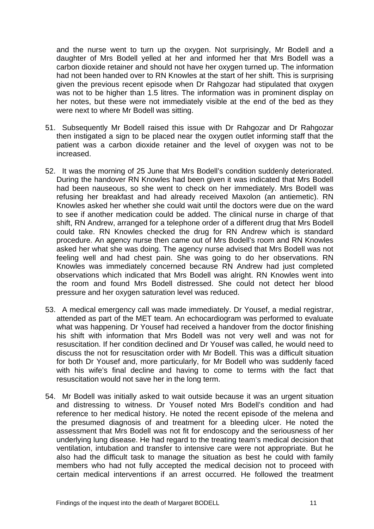and the nurse went to turn up the oxygen. Not surprisingly, Mr Bodell and a daughter of Mrs Bodell yelled at her and informed her that Mrs Bodell was a carbon dioxide retainer and should not have her oxygen turned up. The information had not been handed over to RN Knowles at the start of her shift. This is surprising given the previous recent episode when Dr Rahgozar had stipulated that oxygen was not to be higher than 1.5 litres. The information was in prominent display on her notes, but these were not immediately visible at the end of the bed as they were next to where Mr Bodell was sitting.

- 51. Subsequently Mr Bodell raised this issue with Dr Rahgozar and Dr Rahgozar then instigated a sign to be placed near the oxygen outlet informing staff that the patient was a carbon dioxide retainer and the level of oxygen was not to be increased.
- 52. It was the morning of 25 June that Mrs Bodell's condition suddenly deteriorated. During the handover RN Knowles had been given it was indicated that Mrs Bodell had been nauseous, so she went to check on her immediately. Mrs Bodell was refusing her breakfast and had already received Maxolon (an antiemetic). RN Knowles asked her whether she could wait until the doctors were due on the ward to see if another medication could be added. The clinical nurse in charge of that shift, RN Andrew, arranged for a telephone order of a different drug that Mrs Bodell could take. RN Knowles checked the drug for RN Andrew which is standard procedure. An agency nurse then came out of Mrs Bodell's room and RN Knowles asked her what she was doing. The agency nurse advised that Mrs Bodell was not feeling well and had chest pain. She was going to do her observations. RN Knowles was immediately concerned because RN Andrew had just completed observations which indicated that Mrs Bodell was alright. RN Knowles went into the room and found Mrs Bodell distressed. She could not detect her blood pressure and her oxygen saturation level was reduced.
- 53. A medical emergency call was made immediately. Dr Yousef, a medial registrar, attended as part of the MET team. An echocardiogram was performed to evaluate what was happening. Dr Yousef had received a handover from the doctor finishing his shift with information that Mrs Bodell was not very well and was not for resuscitation. If her condition declined and Dr Yousef was called, he would need to discuss the not for resuscitation order with Mr Bodell. This was a difficult situation for both Dr Yousef and, more particularly, for Mr Bodell who was suddenly faced with his wife's final decline and having to come to terms with the fact that resuscitation would not save her in the long term.
- 54. Mr Bodell was initially asked to wait outside because it was an urgent situation and distressing to witness. Dr Yousef noted Mrs Bodell's condition and had reference to her medical history. He noted the recent episode of the melena and the presumed diagnosis of and treatment for a bleeding ulcer. He noted the assessment that Mrs Bodell was not fit for endoscopy and the seriousness of her underlying lung disease. He had regard to the treating team's medical decision that ventilation, intubation and transfer to intensive care were not appropriate. But he also had the difficult task to manage the situation as best he could with family members who had not fully accepted the medical decision not to proceed with certain medical interventions if an arrest occurred. He followed the treatment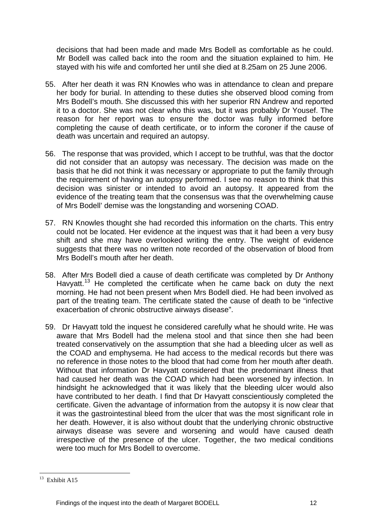decisions that had been made and made Mrs Bodell as comfortable as he could. Mr Bodell was called back into the room and the situation explained to him. He stayed with his wife and comforted her until she died at 8.25am on 25 June 2006.

- 55. After her death it was RN Knowles who was in attendance to clean and prepare her body for burial. In attending to these duties she observed blood coming from Mrs Bodell's mouth. She discussed this with her superior RN Andrew and reported it to a doctor. She was not clear who this was, but it was probably Dr Yousef. The reason for her report was to ensure the doctor was fully informed before completing the cause of death certificate, or to inform the coroner if the cause of death was uncertain and required an autopsy.
- 56. The response that was provided, which I accept to be truthful, was that the doctor did not consider that an autopsy was necessary. The decision was made on the basis that he did not think it was necessary or appropriate to put the family through the requirement of having an autopsy performed. I see no reason to think that this decision was sinister or intended to avoid an autopsy. It appeared from the evidence of the treating team that the consensus was that the overwhelming cause of Mrs Bodell' demise was the longstanding and worsening COAD.
- 57. RN Knowles thought she had recorded this information on the charts. This entry could not be located. Her evidence at the inquest was that it had been a very busy shift and she may have overlooked writing the entry. The weight of evidence suggests that there was no written note recorded of the observation of blood from Mrs Bodell's mouth after her death.
- 58. After Mrs Bodell died a cause of death certificate was completed by Dr Anthony Havyatt.<sup>[13](#page-11-0)</sup> He completed the certificate when he came back on duty the next morning. He had not been present when Mrs Bodell died. He had been involved as part of the treating team. The certificate stated the cause of death to be "infective exacerbation of chronic obstructive airways disease".
- 59. Dr Havyatt told the inquest he considered carefully what he should write. He was aware that Mrs Bodell had the melena stool and that since then she had been treated conservatively on the assumption that she had a bleeding ulcer as well as the COAD and emphysema. He had access to the medical records but there was no reference in those notes to the blood that had come from her mouth after death. Without that information Dr Havyatt considered that the predominant illness that had caused her death was the COAD which had been worsened by infection. In hindsight he acknowledged that it was likely that the bleeding ulcer would also have contributed to her death. I find that Dr Havyatt conscientiously completed the certificate. Given the advantage of information from the autopsy it is now clear that it was the gastrointestinal bleed from the ulcer that was the most significant role in her death. However, it is also without doubt that the underlying chronic obstructive airways disease was severe and worsening and would have caused death irrespective of the presence of the ulcer. Together, the two medical conditions were too much for Mrs Bodell to overcome.

<span id="page-11-0"></span> $13$  Exhibit A15

Findings of the inquest into the death of Margaret BODELL 12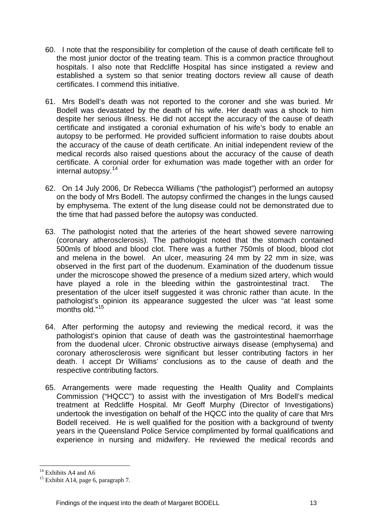- 60. I note that the responsibility for completion of the cause of death certificate fell to the most junior doctor of the treating team. This is a common practice throughout hospitals. I also note that Redcliffe Hospital has since instigated a review and established a system so that senior treating doctors review all cause of death certificates. I commend this initiative.
- 61. Mrs Bodell's death was not reported to the coroner and she was buried. Mr Bodell was devastated by the death of his wife. Her death was a shock to him despite her serious illness. He did not accept the accuracy of the cause of death certificate and instigated a coronial exhumation of his wife's body to enable an autopsy to be performed. He provided sufficient information to raise doubts about the accuracy of the cause of death certificate. An initial independent review of the medical records also raised questions about the accuracy of the cause of death certificate. A coronial order for exhumation was made together with an order for internal autopsy.[14](#page-12-0)
- 62. On 14 July 2006, Dr Rebecca Williams ("the pathologist") performed an autopsy on the body of Mrs Bodell. The autopsy confirmed the changes in the lungs caused by emphysema. The extent of the lung disease could not be demonstrated due to the time that had passed before the autopsy was conducted.
- 63. The pathologist noted that the arteries of the heart showed severe narrowing (coronary atherosclerosis). The pathologist noted that the stomach contained 500mls of blood and blood clot. There was a further 750mls of blood, blood clot and melena in the bowel. An ulcer, measuring 24 mm by 22 mm in size, was observed in the first part of the duodenum. Examination of the duodenum tissue under the microscope showed the presence of a medium sized artery, which would have played a role in the bleeding within the gastrointestinal tract. The presentation of the ulcer itself suggested it was chronic rather than acute. In the pathologist's opinion its appearance suggested the ulcer was "at least some months old."[15](#page-12-1)
- 64. After performing the autopsy and reviewing the medical record, it was the pathologist's opinion that cause of death was the gastrointestinal haemorrhage from the duodenal ulcer. Chronic obstructive airways disease (emphysema) and coronary atherosclerosis were significant but lesser contributing factors in her death. I accept Dr Williams' conclusions as to the cause of death and the respective contributing factors.
- 65. Arrangements were made requesting the Health Quality and Complaints Commission ("HQCC") to assist with the investigation of Mrs Bodell's medical treatment at Redcliffe Hospital. Mr Geoff Murphy (Director of Investigations) undertook the investigation on behalf of the HQCC into the quality of care that Mrs Bodell received. He is well qualified for the position with a background of twenty years in the Queensland Police Service complimented by formal qualifications and experience in nursing and midwifery. He reviewed the medical records and

<u>.</u>

<span id="page-12-0"></span><sup>&</sup>lt;sup>14</sup> Exhibits A4 and A6

<span id="page-12-1"></span><sup>&</sup>lt;sup>15</sup> Exhibit A14, page 6, paragraph 7.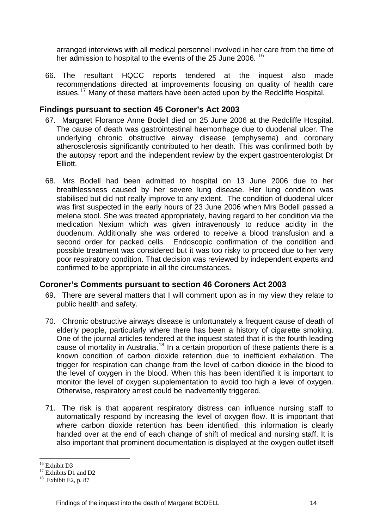arranged interviews with all medical personnel involved in her care from the time of her admission to hospital to the events of the 25 June 2006.<sup>[16](#page-13-0)</sup>

66. The resultant HQCC reports tendered at the inquest also made recommendations directed at improvements focusing on quality of health care issues.[17](#page-13-1) Many of these matters have been acted upon by the Redcliffe Hospital.

#### **Findings pursuant to section 45 Coroner's Act 2003**

- 67. Margaret Florance Anne Bodell died on 25 June 2006 at the Redcliffe Hospital. The cause of death was gastrointestinal haemorrhage due to duodenal ulcer. The underlying chronic obstructive airway disease (emphysema) and coronary atherosclerosis significantly contributed to her death. This was confirmed both by the autopsy report and the independent review by the expert gastroenterologist Dr Elliott.
- 68. Mrs Bodell had been admitted to hospital on 13 June 2006 due to her breathlessness caused by her severe lung disease. Her lung condition was stabilised but did not really improve to any extent. The condition of duodenal ulcer was first suspected in the early hours of 23 June 2006 when Mrs Bodell passed a melena stool. She was treated appropriately, having regard to her condition via the medication Nexium which was given intravenously to reduce acidity in the duodenum. Additionally she was ordered to receive a blood transfusion and a second order for packed cells. Endoscopic confirmation of the condition and possible treatment was considered but it was too risky to proceed due to her very poor respiratory condition. That decision was reviewed by independent experts and confirmed to be appropriate in all the circumstances.

#### **Coroner's Comments pursuant to section 46 Coroners Act 2003**

- 69. There are several matters that I will comment upon as in my view they relate to public health and safety.
- 70. Chronic obstructive airways disease is unfortunately a frequent cause of death of elderly people, particularly where there has been a history of cigarette smoking. One of the journal articles tendered at the inquest stated that it is the fourth leading cause of mortality in Australia.[18](#page-13-2) In a certain proportion of these patients there is a known condition of carbon dioxide retention due to inefficient exhalation. The trigger for respiration can change from the level of carbon dioxide in the blood to the level of oxygen in the blood. When this has been identified it is important to monitor the level of oxygen supplementation to avoid too high a level of oxygen. Otherwise, respiratory arrest could be inadvertently triggered.
- 71. The risk is that apparent respiratory distress can influence nursing staff to automatically respond by increasing the level of oxygen flow. It is important that where carbon dioxide retention has been identified, this information is clearly handed over at the end of each change of shift of medical and nursing staff. It is also important that prominent documentation is displayed at the oxygen outlet itself

<sup>1</sup> <sup>16</sup> Exhibit D3

<span id="page-13-1"></span><span id="page-13-0"></span><sup>&</sup>lt;sup>17</sup> Exhibits D1 and D2

<span id="page-13-2"></span> $18$  Exhibit E2, p. 87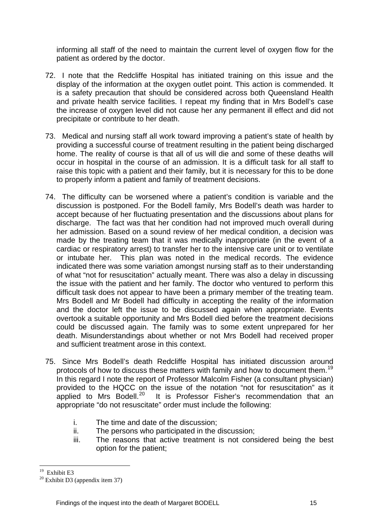informing all staff of the need to maintain the current level of oxygen flow for the patient as ordered by the doctor.

- 72. I note that the Redcliffe Hospital has initiated training on this issue and the display of the information at the oxygen outlet point. This action is commended. It is a safety precaution that should be considered across both Queensland Health and private health service facilities. I repeat my finding that in Mrs Bodell's case the increase of oxygen level did not cause her any permanent ill effect and did not precipitate or contribute to her death.
- 73. Medical and nursing staff all work toward improving a patient's state of health by providing a successful course of treatment resulting in the patient being discharged home. The reality of course is that all of us will die and some of these deaths will occur in hospital in the course of an admission. It is a difficult task for all staff to raise this topic with a patient and their family, but it is necessary for this to be done to properly inform a patient and family of treatment decisions.
- 74. The difficulty can be worsened where a patient's condition is variable and the discussion is postponed. For the Bodell family, Mrs Bodell's death was harder to accept because of her fluctuating presentation and the discussions about plans for discharge. The fact was that her condition had not improved much overall during her admission. Based on a sound review of her medical condition, a decision was made by the treating team that it was medically inappropriate (in the event of a cardiac or respiratory arrest) to transfer her to the intensive care unit or to ventilate or intubate her. This plan was noted in the medical records. The evidence indicated there was some variation amongst nursing staff as to their understanding of what "not for resuscitation" actually meant. There was also a delay in discussing the issue with the patient and her family. The doctor who ventured to perform this difficult task does not appear to have been a primary member of the treating team. Mrs Bodell and Mr Bodell had difficulty in accepting the reality of the information and the doctor left the issue to be discussed again when appropriate. Events overtook a suitable opportunity and Mrs Bodell died before the treatment decisions could be discussed again. The family was to some extent unprepared for her death. Misunderstandings about whether or not Mrs Bodell had received proper and sufficient treatment arose in this context.
- 75. Since Mrs Bodell's death Redcliffe Hospital has initiated discussion around protocols of how to discuss these matters with family and how to document them.<sup>[19](#page-14-0)</sup> In this regard I note the report of Professor Malcolm Fisher (a consultant physician) provided to the HQCC on the issue of the notation "not for resuscitation" as it applied to Mrs Bodell.<sup>20</sup> It is Professor Fisher's recommendation that an It is Professor Fisher's recommendation that an appropriate "do not resuscitate" order must include the following:
	- i. The time and date of the discussion;
	- ii. The persons who participated in the discussion;
	- iii. The reasons that active treatment is not considered being the best option for the patient;

<sup>&</sup>lt;u>.</u> <sup>19</sup> Exhibit E3

<span id="page-14-1"></span><span id="page-14-0"></span> $20$  Exhibit D3 (appendix item 37)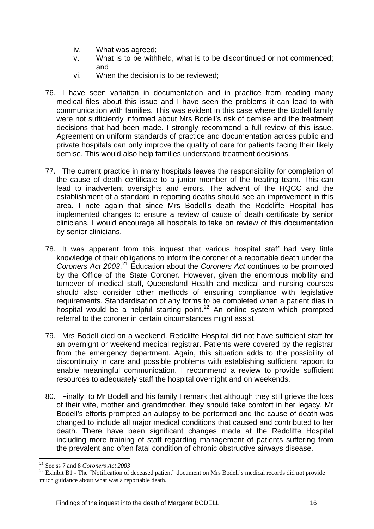- iv. What was agreed;
- v. What is to be withheld, what is to be discontinued or not commenced; and
- vi. When the decision is to be reviewed;
- 76. I have seen variation in documentation and in practice from reading many medical files about this issue and I have seen the problems it can lead to with communication with families. This was evident in this case where the Bodell family were not sufficiently informed about Mrs Bodell's risk of demise and the treatment decisions that had been made. I strongly recommend a full review of this issue. Agreement on uniform standards of practice and documentation across public and private hospitals can only improve the quality of care for patients facing their likely demise. This would also help families understand treatment decisions.
- 77. The current practice in many hospitals leaves the responsibility for completion of the cause of death certificate to a junior member of the treating team. This can lead to inadvertent oversights and errors. The advent of the HQCC and the establishment of a standard in reporting deaths should see an improvement in this area. I note again that since Mrs Bodell's death the Redcliffe Hospital has implemented changes to ensure a review of cause of death certificate by senior clinicians. I would encourage all hospitals to take on review of this documentation by senior clinicians.
- 78. It was apparent from this inquest that various hospital staff had very little knowledge of their obligations to inform the coroner of a reportable death under the *Coroners Act 2003*. [21](#page-15-0) Education about the *Coroners Act* continues to be promoted by the Office of the State Coroner. However, given the enormous mobility and turnover of medical staff, Queensland Health and medical and nursing courses should also consider other methods of ensuring compliance with legislative requirements. Standardisation of any forms to be completed when a patient dies in hospital would be a helpful starting point.<sup>[22](#page-15-1)</sup> An online system which prompted referral to the coroner in certain circumstances might assist.
- 79. Mrs Bodell died on a weekend. Redcliffe Hospital did not have sufficient staff for an overnight or weekend medical registrar. Patients were covered by the registrar from the emergency department. Again, this situation adds to the possibility of discontinuity in care and possible problems with establishing sufficient rapport to enable meaningful communication. I recommend a review to provide sufficient resources to adequately staff the hospital overnight and on weekends.
- 80. Finally, to Mr Bodell and his family I remark that although they still grieve the loss of their wife, mother and grandmother, they should take comfort in her legacy. Mr Bodell's efforts prompted an autopsy to be performed and the cause of death was changed to include all major medical conditions that caused and contributed to her death. There have been significant changes made at the Redcliffe Hospital including more training of staff regarding management of patients suffering from the prevalent and often fatal condition of chronic obstructive airways disease.

<sup>1</sup> 

<span id="page-15-1"></span><span id="page-15-0"></span><sup>21</sup> See ss 7 and 8 *Coroners Act 2003* 22 Exhibit B1 - The "Notification of deceased patient" document on Mrs Bodell's medical records did not provide much guidance about what was a reportable death.